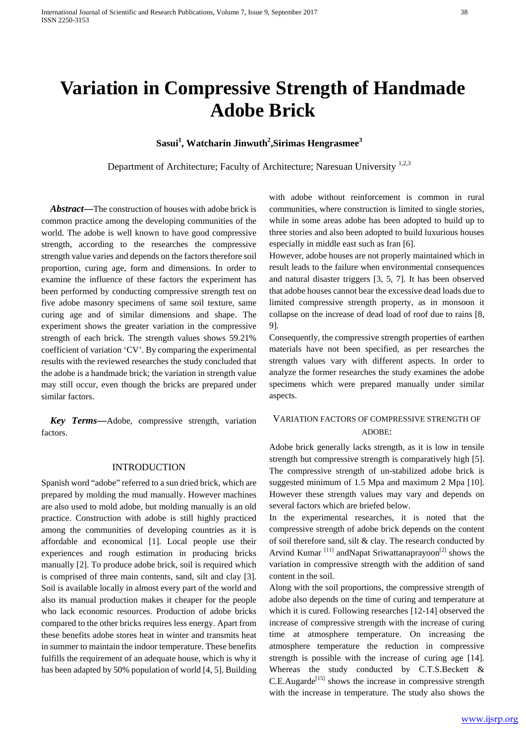# **Variation in Compressive Strength of Handmade Adobe Brick**

**Sasui<sup>1</sup> , Watcharin Jinwuth<sup>2</sup> ,Sirimas Hengrasmee3**

Department of Architecture; Faculty of Architecture; Naresuan University <sup>1,2,3</sup>

*Abstract—*The construction of houses with adobe brick is common practice among the developing communities of the world. The adobe is well known to have good compressive strength, according to the researches the compressive strength value varies and depends on the factors therefore soil proportion, curing age, form and dimensions. In order to examine the influence of these factors the experiment has been performed by conducting compressive strength test on five adobe masonry specimens of same soil texture, same curing age and of similar dimensions and shape. The experiment shows the greater variation in the compressive strength of each brick. The strength values shows 59.21% coefficient of variation 'CV'. By comparing the experimental results with the reviewed researches the study concluded that the adobe is a handmade brick; the variation in strength value may still occur, even though the bricks are prepared under similar factors.

*Key Terms***—**Adobe, compressive strength, variation factors.

### INTRODUCTION

Spanish word "adobe" referred to a sun dried brick, which are prepared by molding the mud manually. However machines are also used to mold adobe, but molding manually is an old practice. Construction with adobe is still highly practiced among the communities of developing countries as it is affordable and economical [\[1\]](#page-4-0). Local people use their experiences and rough estimation in producing bricks manually [\[2\]](#page-4-1). To produce adobe brick, soil is required which is comprised of three main contents, sand, silt and clay [\[3\]](#page-4-2). Soil is available locally in almost every part of the world and also its manual production makes it cheaper for the people who lack economic resources. Production of adobe bricks compared to the other bricks requires less energy. Apart from these benefits adobe stores heat in winter and transmits heat in summer to maintain the indoor temperature. These benefits fulfills the requirement of an adequate house, which is why it has been adapted by 50% population of world [\[4,](#page-4-3) [5\]](#page-4-4). Building with adobe without reinforcement is common in rural communities, where construction is limited to single stories, while in some areas adobe has been adopted to build up to three stories and also been adopted to build luxurious houses especially in middle east such as Iran [\[6\]](#page-4-5).

However, adobe houses are not properly maintained which in result leads to the failure when environmental consequences and natural disaster triggers [\[3,](#page-4-2) [5,](#page-4-4) [7\]](#page-4-6). It has been observed that adobe houses cannot bear the excessive dead loads due to limited compressive strength property, as in monsoon it collapse on the increase of dead load of roof due to rains [\[8,](#page-4-7) [9\]](#page-4-8).

Consequently, the compressive strength properties of earthen materials have not been specified, as per researches the strength values vary with different aspects. In order to analyze the former researches the study examines the adobe specimens which were prepared manually under similar aspects.

# VARIATION FACTORS OF COMPRESSIVE STRENGTH OF ADOBE:

Adobe brick generally lacks strength, as it is low in tensile strength but compressive strength is comparatively high [\[5\]](#page-4-4). The compressive strength of un-stabilized adobe brick is suggested minimum of 1.5 Mpa and maximum 2 Mpa [\[10\]](#page-4-9). However these strength values may vary and depends on several factors which are briefed below.

In the experimental researches, it is noted that the compressive strength of adobe brick depends on the content of soil therefore sand, silt & clay. The research conducted by Arvind Kumar<sup>[\[11\]](#page-4-10)</sup> andNapat Sriwattanaprayoon<sup>[\[2\]](#page-4-1)</sup> shows the variation in compressive strength with the addition of sand content in the soil.

Along with the soil proportions, the compressive strength of adobe also depends on the time of curing and temperature at which it is cured. Following researches [\[12-14\]](#page-4-11) observed the increase of compressive strength with the increase of curing time at atmosphere temperature. On increasing the atmosphere temperature the reduction in compressive strength is possible with the increase of curing age [\[14\]](#page-4-12). Whereas the study conducted by C.T.S.Beckett &  $C.E.Augarde<sup>[15]</sup> shows the increase in compressive strength$ with the increase in temperature. The study also shows the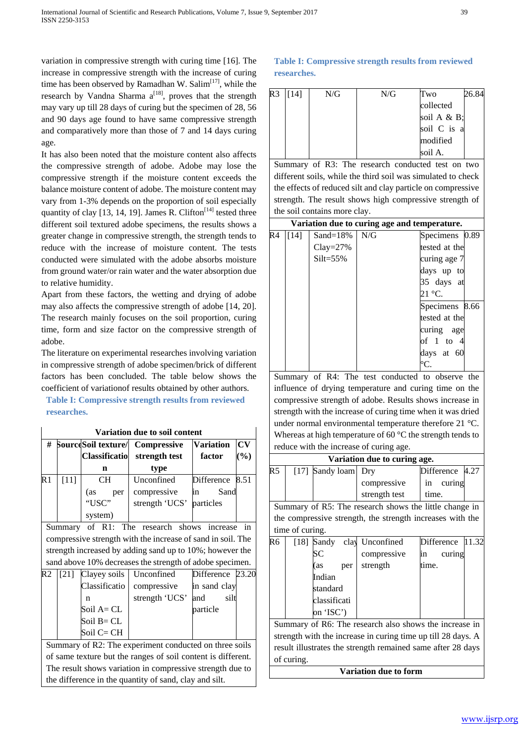variation in compressive strength with curing time [\[16\]](#page-4-14). The increase in compressive strength with the increase of curing time has been observed by Ramadhan W. Salim<sup>[\[17\]](#page-4-15)</sup>, while the research by Vandna Sharma  $a^{[18]}$  $a^{[18]}$  $a^{[18]}$ , proves that the strength may vary up till 28 days of curing but the specimen of 28, 56 and 90 days age found to have same compressive strength and comparatively more than those of 7 and 14 days curing age.

It has also been noted that the moisture content also affects the compressive strength of adobe. Adobe may lose the compressive strength if the moisture content exceeds the balance moisture content of adobe. The moisture content may vary from 1-3% depends on the proportion of soil especially quantity of clay [\[13,](#page-4-17) [14,](#page-4-12) [19\]](#page-4-18). James R. Clifton<sup>[\[14\]](#page-4-12)</sup> tested three different soil textured adobe specimens, the results shows a greater change in compressive strength, the strength tends to reduce with the increase of moisture content. The tests conducted were simulated with the adobe absorbs moisture from ground water/or rain water and the water absorption due to relative humidity.

Apart from these factors, the wetting and drying of adobe may also affects the compressive strength of adobe [\[14,](#page-4-12) [20\]](#page-4-19). The research mainly focuses on the soil proportion, curing time, form and size factor on the compressive strength of adobe.

The literature on experimental researches involving variation in compressive strength of adobe specimen/brick of different factors has been concluded. The table below shows the coefficient of variationof results obtained by other authors.

# **Table I: Compressive strength results from reviewed researches.**

| Variation due to soil content |        |                                                    |                              |                            |                                                        |  |  |  |
|-------------------------------|--------|----------------------------------------------------|------------------------------|----------------------------|--------------------------------------------------------|--|--|--|
| #                             |        | <b>SourceSoil texture/</b><br><b>Classificatio</b> | Compressive<br>strength test | <b>Variation</b><br>factor | $\mathbf{C}\mathbf{V}$<br>$\left( \frac{9}{6} \right)$ |  |  |  |
|                               |        | n                                                  | type                         |                            |                                                        |  |  |  |
| R1                            | $[11]$ | CН                                                 | Unconfined                   | Difference                 | 8.51                                                   |  |  |  |
|                               |        | (as<br>per                                         | compressive                  | Sand<br>in                 |                                                        |  |  |  |
|                               |        | "USC"                                              | strength 'UCS'               | particles                  |                                                        |  |  |  |
|                               |        | system)                                            |                              |                            |                                                        |  |  |  |

Summary of R1: The research shows increase in compressive strength with the increase of sand in soil. The strength increased by adding sand up to 10%; however the sand above 10% decreases the strength of adobe specimen.

| R2 | [21] Clayey soils   Unconfined |                | Difference 23.20 |  |
|----|--------------------------------|----------------|------------------|--|
|    | Classificatio                  | compressive    | in sand clay     |  |
|    | n                              | strength 'UCS' | silt<br>and      |  |
|    | Soil A= CL                     |                | particle         |  |
|    | Soil B= CL                     |                |                  |  |
|    | Soil C= CH                     |                |                  |  |

Summary of R2: The experiment conducted on three soils of same texture but the ranges of soil content is different. The result shows variation in compressive strength due to the difference in the quantity of sand, clay and silt.

# **Table I: Compressive strength results from reviewed researches.**

| R3 | 141 | N/G | N/G | Two         | 84 |
|----|-----|-----|-----|-------------|----|
|    |     |     |     | collected   |    |
|    |     |     |     | soil A & B; |    |
|    |     |     |     | soil C is a |    |
|    |     |     |     | modified    |    |
|    |     |     |     | soil A.     |    |

Summary of R3: The research conducted test on two different soils, while the third soil was simulated to check the effects of reduced silt and clay particle on compressive strength. The result shows high compressive strength of the soil contains more clay.

|    | Variation due to curing age and temperature. |               |     |                   |  |  |  |  |  |
|----|----------------------------------------------|---------------|-----|-------------------|--|--|--|--|--|
| R4 | [14]                                         | Sand= $18\%$  | N/G | Specimens 0.89    |  |  |  |  |  |
|    |                                              | $Clay = 27\%$ |     | tested at the     |  |  |  |  |  |
|    |                                              | $Silt = 55\%$ |     | curing age 7      |  |  |  |  |  |
|    |                                              |               |     | days up to        |  |  |  |  |  |
|    |                                              |               |     | 35 days at        |  |  |  |  |  |
|    |                                              |               |     | 21 °C.            |  |  |  |  |  |
|    |                                              |               |     | 8.66<br>Specimens |  |  |  |  |  |
|    |                                              |               |     | tested at the     |  |  |  |  |  |
|    |                                              |               |     | curing age        |  |  |  |  |  |
|    |                                              |               |     | of 1 to 4         |  |  |  |  |  |
|    |                                              |               |     | days at 60        |  |  |  |  |  |
|    |                                              |               |     | °C.               |  |  |  |  |  |

Summary of R4: The test conducted to observe the influence of drying temperature and curing time on the compressive strength of adobe. Results shows increase in strength with the increase of curing time when it was dried under normal environmental temperature therefore 21 °C. Whereas at high temperature of 60 °C the strength tends to reduce with the increase of curing age.

|                |                                                        |                       | Variation due to curing age.                                 |                 |       |  |  |
|----------------|--------------------------------------------------------|-----------------------|--------------------------------------------------------------|-----------------|-------|--|--|
| R <sub>5</sub> |                                                        | [17] Sandy loam       | Dry                                                          | Difference 4.27 |       |  |  |
|                |                                                        |                       | compressive                                                  | curing<br>in    |       |  |  |
|                |                                                        |                       | strength test                                                | time.           |       |  |  |
|                | Summary of R5: The research shows the little change in |                       |                                                              |                 |       |  |  |
|                |                                                        |                       | the compressive strength, the strength increases with the    |                 |       |  |  |
|                | time of curing.                                        |                       |                                                              |                 |       |  |  |
| R6             |                                                        | [18] $S$ andy<br>clay | Unconfined                                                   | Difference      | 11.32 |  |  |
|                |                                                        | SС                    | compressive                                                  | curing<br>in    |       |  |  |
|                |                                                        | (as<br>per            | strength                                                     | time.           |       |  |  |
|                |                                                        | Indian                |                                                              |                 |       |  |  |
|                |                                                        | standard              |                                                              |                 |       |  |  |
|                |                                                        | classificati          |                                                              |                 |       |  |  |
|                |                                                        | on 'ISC')             |                                                              |                 |       |  |  |
|                |                                                        |                       | Summary of R6: The research also shows the increase in       |                 |       |  |  |
|                |                                                        |                       | strength with the increase in curing time up till 28 days. A |                 |       |  |  |
|                |                                                        |                       | result illustrates the strength remained same after 28 days  |                 |       |  |  |
|                | of curing.                                             |                       |                                                              |                 |       |  |  |
|                |                                                        |                       | <b>Variation due to form</b>                                 |                 |       |  |  |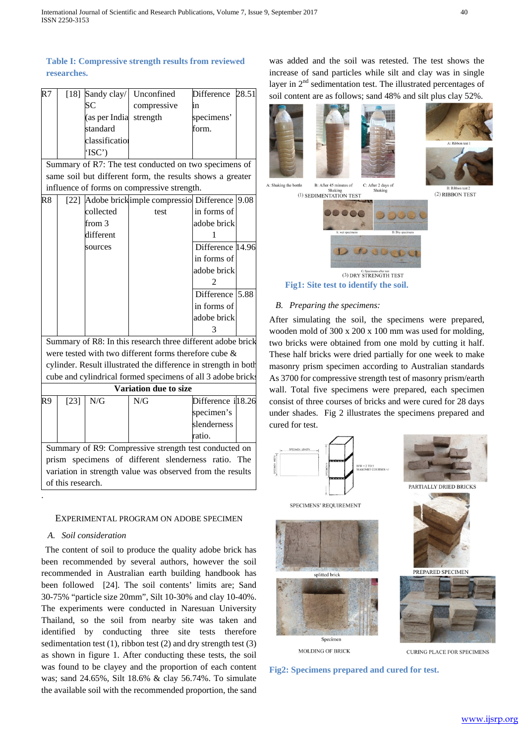| R7 |                        | [18] Sandy clay/ Unconfined | Difference 28.51 |  |
|----|------------------------|-----------------------------|------------------|--|
|    | SC                     | compressive                 | ın               |  |
|    | (as per India strength |                             | specimens'       |  |
|    | standard               |                             | form.            |  |
|    | classification         |                             |                  |  |
|    | 'ISC                   |                             |                  |  |

Summary of R7: The test conducted on two specimens of same soil but different form, the results shows a greater influence of forms on compressive strength.

| R8 |           | [22] Adobe brick imple compressio Difference 9.08           |                  |  |
|----|-----------|-------------------------------------------------------------|------------------|--|
|    | collected | test                                                        | in forms of      |  |
|    | from 3    |                                                             | adobe brick      |  |
|    | different |                                                             |                  |  |
|    | sources   |                                                             | Difference 14.96 |  |
|    |           |                                                             | in forms of      |  |
|    |           |                                                             | adobe brick      |  |
|    |           |                                                             |                  |  |
|    |           |                                                             | Difference 5.88  |  |
|    |           |                                                             | in forms of      |  |
|    |           |                                                             | adobe brick      |  |
|    |           |                                                             |                  |  |
|    |           | Summary of R8: In this research three different adobe brick |                  |  |

were tested with two different forms therefore cube & cylinder. Result illustrated the difference in strength in both cube and cylindrical formed specimens of all 3 adobe bricks

|    |      |     |     | <b>Variation due to size</b> |                    |  |
|----|------|-----|-----|------------------------------|--------------------|--|
| R9 | [23] | N/G | N/G |                              | Difference il 8.26 |  |
|    |      |     |     |                              | specimen's         |  |
|    |      |     |     |                              | slenderness        |  |
|    |      |     |     |                              | ratio.             |  |

Summary of R9: Compressive strength test conducted on prism specimens of different slenderness ratio. The variation in strength value was observed from the results of this research.

#### EXPERIMENTAL PROGRAM ON ADOBE SPECIMEN

# *A. Soil consideration*

.

The content of soil to produce the quality adobe brick has been recommended by several authors, however the soil recommended in Australian earth building handbook has been followed [\[24\]](#page-4-23). The soil contents' limits are; Sand 30-75% "particle size 20mm", Silt 10-30% and clay 10-40%. The experiments were conducted in Naresuan University Thailand, so the soil from nearby site was taken and identified by conducting three site tests therefore sedimentation test  $(1)$ , ribbon test  $(2)$  and dry strength test  $(3)$ as shown in figure 1. After conducting these tests, the soil was found to be clayey and the proportion of each content was; sand 24.65%, Silt 18.6% & clay 56.74%. To simulate the available soil with the recommended proportion, the sand was added and the soil was retested. The test shows the increase of sand particles while silt and clay was in single layer in  $2<sup>nd</sup>$  sedimentation test. The illustrated percentages of soil content are as follows; sand 48% and silt plus clay 52%.





(2) RIBBON TEST

A: Shaking the bottle B: After 45 minutes of C: After 2 days of  $Shakin$ (1) SEDIMENTATION TEST



**Fig1: Site test to identify the soil.**

# *B. Preparing the specimens:*

After simulating the soil, the specimens were prepared, wooden mold of 300 x 200 x 100 mm was used for molding, two bricks were obtained from one mold by cutting it half. These half bricks were dried partially for one week to make masonry prism specimen according to Australian standards As 3700 for compressive strength test of masonry prism/earth wall. Total five specimens were prepared, each specimen consist of three courses of bricks and were cured for 28 days under shades. Fig 2 illustrates the specimens prepared and cured for test.



**Fig2: Specimens prepared and cured for test.**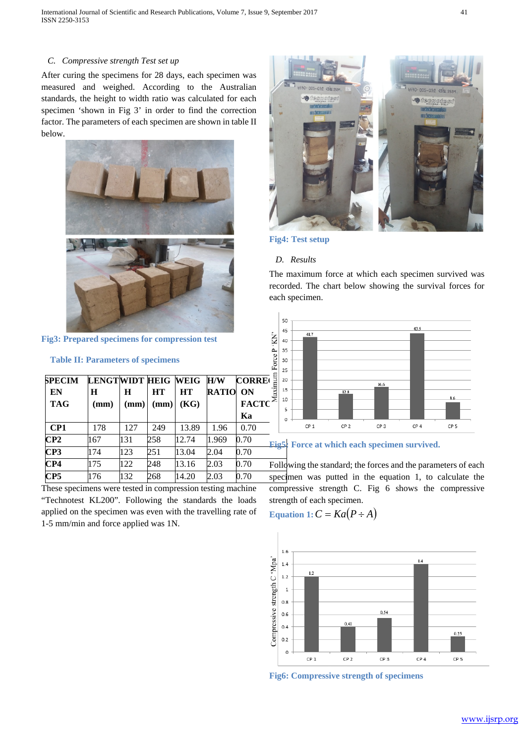# *C. Compressive strength Test set up*

After curing the specimens for 28 days, each specimen was measured and weighed. According to the Australian standards, the height to width ratio was calculated for each specimen 'shown in Fig 3' in order to find the correction factor. The parameters of each specimen are shown in table II below.



**Fig3: Prepared specimens for compression test**

#### **Table II: Parameters of specimens**

| <b>SPECIM</b>   | LENGTWIDT HEIG WEIG |      |           |           | H/W          | <b>CORRE</b> | ă   |
|-----------------|---------------------|------|-----------|-----------|--------------|--------------|-----|
| EN              | H                   | Н    | <b>HT</b> | <b>HT</b> | <b>RATIO</b> | ON           |     |
| <b>TAG</b>      | (mm)                | (mm) | (mm)      | (KG)      |              | <b>FACTC</b> |     |
|                 |                     |      |           |           |              | Ka           |     |
| CP1             | 178                 | 127  | 249       | 13.89     | 1.96         | 0.70         |     |
| CP2             | 167                 | 131  | 258       | 12.74     | 1.969        | 0.70         | Fig |
| CP3             | 174                 | 123  | 251       | 13.04     | 2.04         | 0.70         |     |
| CP4             | 175                 | 122  | 248       | 13.16     | 2.03         | 0.70         | Fol |
| CP <sub>5</sub> | 176                 | 132  | 268       | 14.20     | 2.03         | 0.70         | spe |

These specimens were tested in compression testing machine "Technotest KL200". Following the standards the loads applied on the specimen was even with the travelling rate of 1-5 mm/min and force applied was 1N.



# **Fig4: Test setup**

#### *D. Results*

The maximum force at which each specimen survived was recorded. The chart below showing the survival forces for each specimen.



### **Fig5: Force at which each specimen survived.**

Following the standard; the forces and the parameters of each specimen was putted in the equation 1, to calculate the compressive strength C. Fig 6 shows the compressive strength of each specimen.

$$
Equation 1: C = Ka(P \div A)
$$



**Fig6: Compressive strength of specimens**